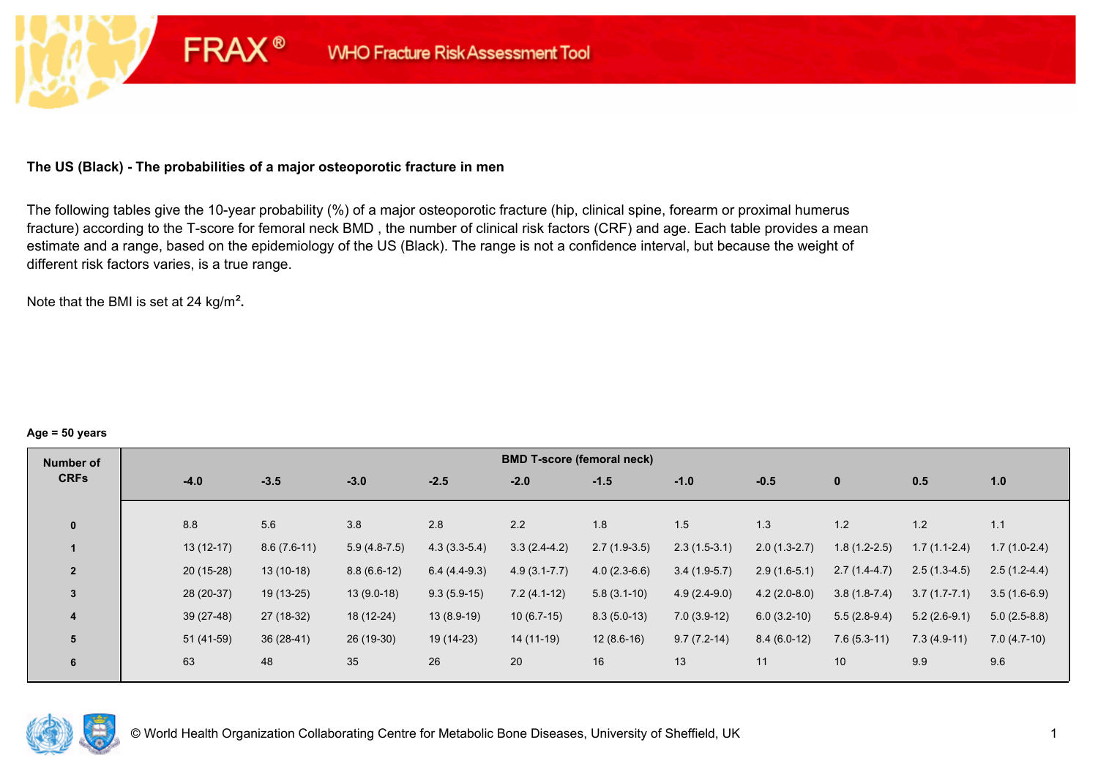# **The US (Black) - The probabilities of a major osteoporotic fracture in men**

**FRAX®** 

The following tables give the 10-year probability (%) of a major osteoporotic fracture (hip, clinical spine, forearm or proximal humerus fracture) according to the T-score for femoral neck BMD , the number of clinical risk factors (CRF) and age. Each table provides a mean estimate and a range, based on the epidemiology of the US (Black). The range is not a confidence interval, but because the weight of different risk factors varies, is a true range.

Note that the BMI is set at 24 kg/m²**.** 

#### **Age = 50 years**

| Number of      |             |               |                |                | <b>BMD T-score (femoral neck)</b> |                |                |                |                |                |                |
|----------------|-------------|---------------|----------------|----------------|-----------------------------------|----------------|----------------|----------------|----------------|----------------|----------------|
| <b>CRFs</b>    | $-4.0$      | $-3.5$        | $-3.0$         | $-2.5$         | $-2.0$                            | $-1.5$         | $-1.0$         | $-0.5$         | $\bf{0}$       | 0.5            | 1.0            |
|                |             |               |                |                |                                   |                |                |                |                |                |                |
| $\mathbf{0}$   | 8.8         | 5.6           | 3.8            | 2.8            | 2.2                               | 1.8            | 1.5            | 1.3            | 1.2            | 1.2            | 1.1            |
|                | $13(12-17)$ | $8.6(7.6-11)$ | $5.9(4.8-7.5)$ | $4.3(3.3-5.4)$ | $3.3(2.4-4.2)$                    | $2.7(1.9-3.5)$ | $2.3(1.5-3.1)$ | $2.0(1.3-2.7)$ | $1.8(1.2-2.5)$ | $1.7(1.1-2.4)$ | $1.7(1.0-2.4)$ |
| $\overline{2}$ | $20(15-28)$ | $13(10-18)$   | $8.8(6.6-12)$  | $6.4(4.4-9.3)$ | $4.9(3.1 - 7.7)$                  | $4.0(2.3-6.6)$ | $3.4(1.9-5.7)$ | $2.9(1.6-5.1)$ | $2.7(1.4-4.7)$ | $2.5(1.3-4.5)$ | $2.5(1.2-4.4)$ |
| $\overline{3}$ | 28 (20-37)  | $19(13-25)$   | $13(9.0-18)$   | $9.3(5.9-15)$  | $7.2(4.1-12)$                     | $5.8(3.1-10)$  | $4.9(2.4-9.0)$ | $4.2(2.0-8.0)$ | $3.8(1.8-7.4)$ | $3.7(1.7-7.1)$ | $3.5(1.6-6.9)$ |
| 4              | $39(27-48)$ | 27 (18-32)    | 18 (12-24)     | $13(8.9-19)$   | $10(6.7-15)$                      | $8.3(5.0-13)$  | $7.0(3.9-12)$  | $6.0(3.2-10)$  | $5.5(2.8-9.4)$ | $5.2(2.6-9.1)$ | $5.0(2.5-8.8)$ |
| 5              | 51 (41-59)  | $36(28-41)$   | 26 (19-30)     | 19 (14-23)     | 14 (11-19)                        | $12(8.6-16)$   | $9.7(7.2-14)$  | $8.4(6.0-12)$  | $7.6(5.3-11)$  | $7.3(4.9-11)$  | $7.0(4.7-10)$  |
| 6              | 63          | 48            | 35             | 26             | 20                                | 16             | 13             | 11             | 10             | 9.9            | 9.6            |

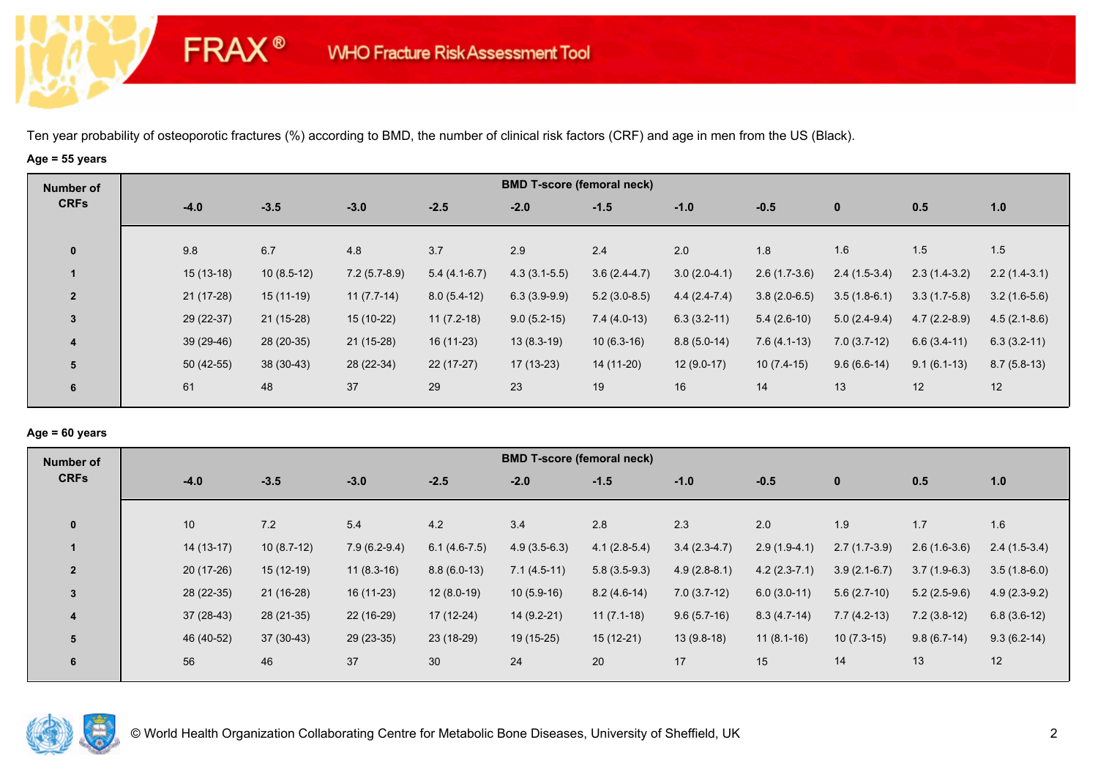# **Age = 55 years**

**FRAX®** 

| Number of               |             |              |                |                | <b>BMD T-score (femoral neck)</b> |                |                |                |                |                |                |
|-------------------------|-------------|--------------|----------------|----------------|-----------------------------------|----------------|----------------|----------------|----------------|----------------|----------------|
| <b>CRFs</b>             | $-4.0$      | $-3.5$       | $-3.0$         | $-2.5$         | $-2.0$                            | $-1.5$         | $-1.0$         | $-0.5$         | $\mathbf{0}$   | 0.5            | 1.0            |
| $\mathbf 0$             | 9.8         | 6.7          | 4.8            | 3.7            | 2.9                               | 2.4            | 2.0            | 1.8            | 1.6            | 1.5            | 1.5            |
|                         | $15(13-18)$ | $10(8.5-12)$ | $7.2(5.7-8.9)$ | $5.4(4.1-6.7)$ | $4.3(3.1-5.5)$                    | $3.6(2.4-4.7)$ | $3.0(2.0-4.1)$ | $2.6(1.7-3.6)$ | $2.4(1.5-3.4)$ | $2.3(1.4-3.2)$ | $2.2(1.4-3.1)$ |
| $\overline{2}$          | $21(17-28)$ | $15(11-19)$  | $11(7.7-14)$   | $8.0(5.4-12)$  | $6.3(3.9-9.9)$                    | $5.2(3.0-8.5)$ | $4.4(2.4-7.4)$ | $3.8(2.0-6.5)$ | $3.5(1.8-6.1)$ | $3.3(1.7-5.8)$ | $3.2(1.6-5.6)$ |
| $\mathbf{3}$            | 29 (22-37)  | 21 (15-28)   | 15 (10-22)     | $11(7.2-18)$   | $9.0(5.2-15)$                     | $7.4(4.0-13)$  | $6.3(3.2-11)$  | $5.4(2.6-10)$  | $5.0(2.4-9.4)$ | $4.7(2.2-8.9)$ | $4.5(2.1-8.6)$ |
| $\overline{\mathbf{4}}$ | $39(29-46)$ | 28 (20-35)   | 21 (15-28)     | 16 (11-23)     | $13(8.3-19)$                      | $10(6.3-16)$   | $8.8(5.0-14)$  | $7.6(4.1-13)$  | $7.0(3.7-12)$  | $6.6(3.4-11)$  | $6.3(3.2-11)$  |
| 5                       | $50(42-55)$ | 38 (30-43)   | 28 (22-34)     | $22(17-27)$    | 17 (13-23)                        | 14 (11-20)     | $12(9.0-17)$   | $10(7.4-15)$   | $9.6(6.6-14)$  | $9.1(6.1-13)$  | $8.7(5.8-13)$  |
| 6                       | 61          | 48           | 37             | 29             | 23                                | 19             | 16             | 14             | 13             | 12             | 12             |

#### **Age = 60 years**

| Number of               |             |              |                |                | <b>BMD T-score (femoral neck)</b> |                |                |                |                |                |                |
|-------------------------|-------------|--------------|----------------|----------------|-----------------------------------|----------------|----------------|----------------|----------------|----------------|----------------|
| <b>CRFs</b>             | $-4.0$      | $-3.5$       | $-3.0$         | $-2.5$         | $-2.0$                            | $-1.5$         | $-1.0$         | $-0.5$         | $\mathbf{0}$   | 0.5            | 1.0            |
| $\mathbf 0$             | 10          | 7.2          | 5.4            | 4.2            | 3.4                               | 2.8            | 2.3            | 2.0            | 1.9            | 1.7            | 1.6            |
|                         |             |              |                |                |                                   |                |                |                |                |                |                |
|                         | $14(13-17)$ | $10(8.7-12)$ | $7.9(6.2-9.4)$ | $6.1(4.6-7.5)$ | $4.9(3.5-6.3)$                    | $4.1(2.8-5.4)$ | $3.4(2.3-4.7)$ | $2.9(1.9-4.1)$ | $2.7(1.7-3.9)$ | $2.6(1.6-3.6)$ | $2.4(1.5-3.4)$ |
| $\overline{2}$          | $20(17-26)$ | $15(12-19)$  | $11(8.3-16)$   | $8.8(6.0-13)$  | $7.1(4.5-11)$                     | $5.8(3.5-9.3)$ | $4.9(2.8-8.1)$ | $4.2(2.3-7.1)$ | $3.9(2.1-6.7)$ | $3.7(1.9-6.3)$ | $3.5(1.8-6.0)$ |
| 3                       | $28(22-35)$ | $21(16-28)$  | $16(11-23)$    | $12(8.0-19)$   | $10(5.9-16)$                      | $8.2(4.6-14)$  | $7.0(3.7-12)$  | $6.0(3.0-11)$  | $5.6(2.7-10)$  | $5.2(2.5-9.6)$ | $4.9(2.3-9.2)$ |
| $\overline{\mathbf{4}}$ | $37(28-43)$ | $28(21-35)$  | 22 (16-29)     | $17(12-24)$    | 14 (9.2-21)                       | $11(7.1-18)$   | $9.6(5.7-16)$  | $8.3(4.7-14)$  | $7.7(4.2-13)$  | $7.2(3.8-12)$  | $6.8(3.6-12)$  |
| 5                       | 46 (40-52)  | $37(30-43)$  | 29 (23-35)     | 23 (18-29)     | 19 (15-25)                        | $15(12-21)$    | $13(9.8-18)$   | $11(8.1-16)$   | $10(7.3-15)$   | $9.8(6.7-14)$  | $9.3(6.2-14)$  |
| 6                       | 56          | 46           | 37             | 30             | 24                                | 20             | 17             | 15             | 14             | 13             | 12             |

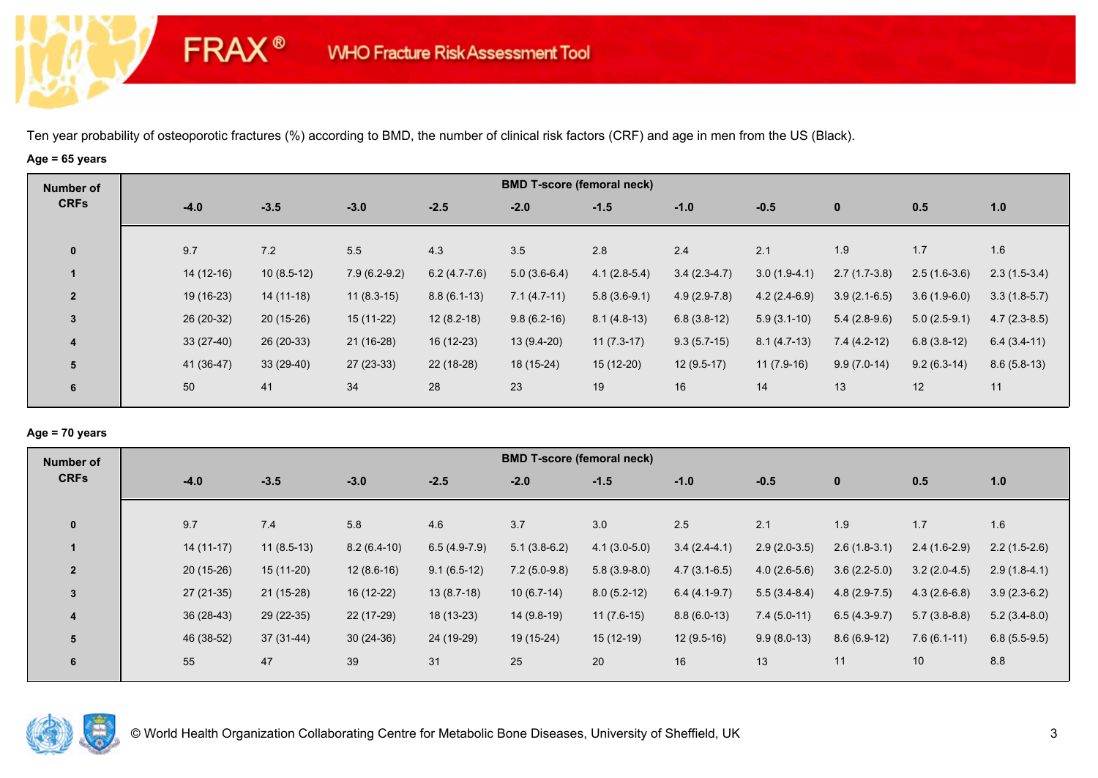# **Age = 65 years**

**FRAX®** 

| Number of               |             |              |                |                | <b>BMD T-score (femoral neck)</b> |                |                |                |                |                |                |
|-------------------------|-------------|--------------|----------------|----------------|-----------------------------------|----------------|----------------|----------------|----------------|----------------|----------------|
| <b>CRFs</b>             | $-4.0$      | $-3.5$       | $-3.0$         | $-2.5$         | $-2.0$                            | $-1.5$         | $-1.0$         | $-0.5$         | $\mathbf{0}$   | 0.5            | 1.0            |
| $\mathbf{0}$            | 9.7         | 7.2          | 5.5            | 4.3            | 3.5                               | 2.8            | 2.4            | 2.1            | 1.9            | 1.7            | 1.6            |
|                         | $14(12-16)$ | $10(8.5-12)$ | $7.9(6.2-9.2)$ | $6.2(4.7-7.6)$ | $5.0(3.6-6.4)$                    | $4.1(2.8-5.4)$ | $3.4(2.3-4.7)$ | $3.0(1.9-4.1)$ | $2.7(1.7-3.8)$ | $2.5(1.6-3.6)$ | $2.3(1.5-3.4)$ |
| $\overline{2}$          | 19 (16-23)  | $14(11-18)$  | $11(8.3-15)$   | $8.8(6.1-13)$  | $7.1(4.7-11)$                     | $5.8(3.6-9.1)$ | $4.9(2.9-7.8)$ | $4.2(2.4-6.9)$ | $3.9(2.1-6.5)$ | $3.6(1.9-6.0)$ | $3.3(1.8-5.7)$ |
| $\mathbf{3}$            | 26 (20-32)  | $20(15-26)$  | 15 (11-22)     | $12(8.2-18)$   | $9.8(6.2-16)$                     | $8.1(4.8-13)$  | $6.8(3.8-12)$  | $5.9(3.1-10)$  | $5.4(2.8-9.6)$ | $5.0(2.5-9.1)$ | $4.7(2.3-8.5)$ |
| $\overline{\mathbf{4}}$ | $33(27-40)$ | 26 (20-33)   | 21 (16-28)     | 16 (12-23)     | 13 (9.4-20)                       | $11(7.3-17)$   | $9.3(5.7-15)$  | $8.1(4.7-13)$  | $7.4(4.2-12)$  | $6.8(3.8-12)$  | $6.4(3.4-11)$  |
| 5                       | 41 (36-47)  | $33(29-40)$  | $27(23-33)$    | 22 (18-28)     | 18 (15-24)                        | $15(12-20)$    | $12(9.5-17)$   | $11(7.9-16)$   | $9.9(7.0-14)$  | $9.2(6.3-14)$  | $8.6(5.8-13)$  |
| 6                       | 50          | 41           | 34             | 28             | 23                                | 19             | 16             | 14             | 13             | 12             | 11             |
|                         |             |              |                |                |                                   |                |                |                |                |                |                |

## **Age = 70 years**

| <b>Number of</b> |             |              |               |                | <b>BMD T-score (femoral neck)</b> |                |                |                |                |                |                |
|------------------|-------------|--------------|---------------|----------------|-----------------------------------|----------------|----------------|----------------|----------------|----------------|----------------|
| <b>CRFs</b>      | $-4.0$      | $-3.5$       | $-3.0$        | $-2.5$         | $-2.0$                            | $-1.5$         | $-1.0$         | $-0.5$         | $\mathbf{0}$   | 0.5            | 1.0            |
|                  |             |              |               |                |                                   |                |                |                |                |                |                |
| $\mathbf{0}$     | 9.7         | 7.4          | 5.8           | 4.6            | 3.7                               | 3.0            | 2.5            | 2.1            | 1.9            | 1.7            | 1.6            |
|                  | $14(11-17)$ | $11(8.5-13)$ | $8.2(6.4-10)$ | $6.5(4.9-7.9)$ | $5.1(3.8-6.2)$                    | $4.1(3.0-5.0)$ | $3.4(2.4-4.1)$ | $2.9(2.0-3.5)$ | $2.6(1.8-3.1)$ | $2.4(1.6-2.9)$ | $2.2(1.5-2.6)$ |
| $\overline{2}$   | $20(15-26)$ | $15(11-20)$  | $12(8.6-16)$  | $9.1(6.5-12)$  | $7.2(5.0-9.8)$                    | $5.8(3.9-8.0)$ | $4.7(3.1-6.5)$ | $4.0(2.6-5.6)$ | $3.6(2.2-5.0)$ | $3.2(2.0-4.5)$ | $2.9(1.8-4.1)$ |
| $\overline{3}$   | $27(21-35)$ | $21(15-28)$  | 16 (12-22)    | $13(8.7-18)$   | $10(6.7-14)$                      | $8.0(5.2-12)$  | $6.4(4.1-9.7)$ | $5.5(3.4-8.4)$ | $4.8(2.9-7.5)$ | $4.3(2.6-6.8)$ | $3.9(2.3-6.2)$ |
| 4                | $36(28-43)$ | 29 (22-35)   | 22 (17-29)    | $18(13-23)$    | 14 (9.8-19)                       | $11(7.6-15)$   | $8.8(6.0-13)$  | $7.4(5.0-11)$  | $6.5(4.3-9.7)$ | $5.7(3.8-8.8)$ | $5.2(3.4-8.0)$ |
| 5                | 46 (38-52)  | 37 (31-44)   | $30(24-36)$   | 24 (19-29)     | 19 (15-24)                        | $15(12-19)$    | $12(9.5-16)$   | $9.9(8.0-13)$  | $8.6(6.9-12)$  | $7.6(6.1-11)$  | $6.8(5.5-9.5)$ |
| 6                | 55          | 47           | 39            | 31             | 25                                | 20             | 16             | 13             | 11             | 10             | 8.8            |
|                  |             |              |               |                |                                   |                |                |                |                |                |                |

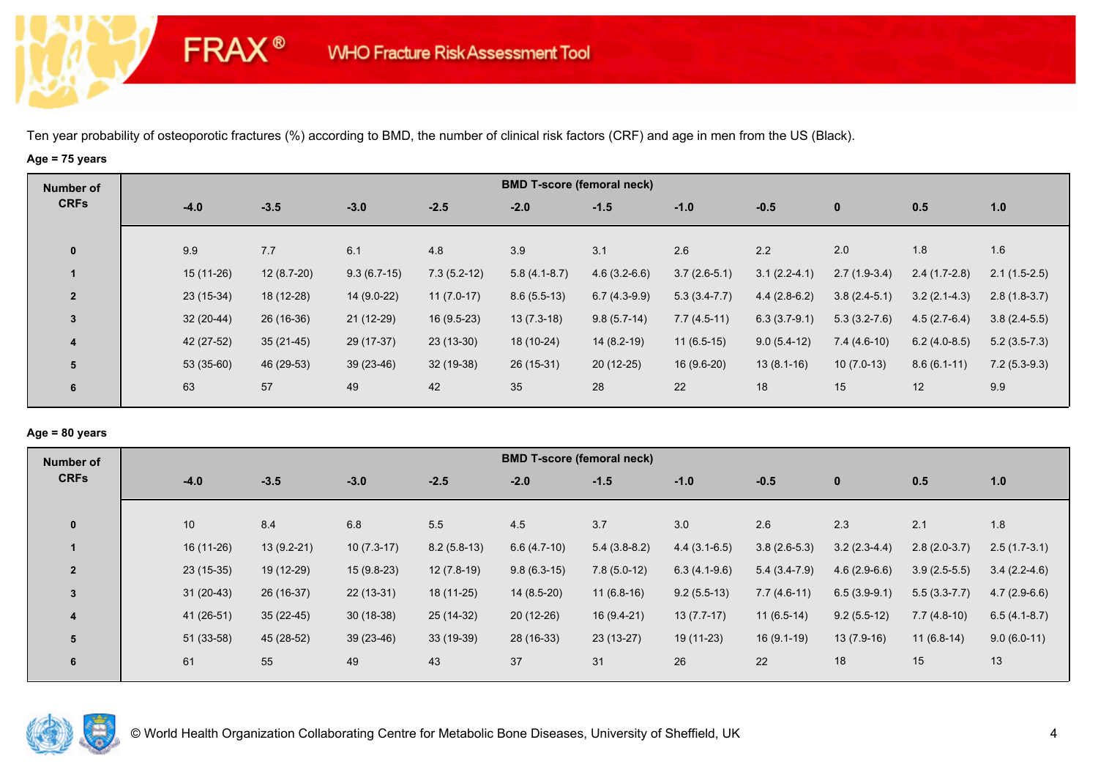# **Age = 75 years**

**FRAX®** 

| Number of               |             |              |               |               |                | <b>BMD T-score (femoral neck)</b> |                |                |                |                |                |
|-------------------------|-------------|--------------|---------------|---------------|----------------|-----------------------------------|----------------|----------------|----------------|----------------|----------------|
| <b>CRFs</b>             | $-4.0$      | $-3.5$       | $-3.0$        | $-2.5$        | $-2.0$         | $-1.5$                            | $-1.0$         | $-0.5$         | $\mathbf{0}$   | 0.5            | 1.0            |
| $\bf{0}$                | 9.9         | 7.7          | 6.1           | 4.8           | 3.9            | 3.1                               | 2.6            | 2.2            | 2.0            | 1.8            | 1.6            |
|                         | 15 (11-26)  | $12(8.7-20)$ | $9.3(6.7-15)$ | $7.3(5.2-12)$ | $5.8(4.1-8.7)$ | $4.6(3.2-6.6)$                    | $3.7(2.6-5.1)$ | $3.1(2.2-4.1)$ | $2.7(1.9-3.4)$ | $2.4(1.7-2.8)$ | $2.1(1.5-2.5)$ |
| $\overline{2}$          | $23(15-34)$ | 18 (12-28)   | 14 (9.0-22)   | $11(7.0-17)$  | $8.6(5.5-13)$  | $6.7(4.3-9.9)$                    | $5.3(3.4-7.7)$ | $4.4(2.8-6.2)$ | $3.8(2.4-5.1)$ | $3.2(2.1-4.3)$ | $2.8(1.8-3.7)$ |
| 3                       | $32(20-44)$ | $26(16-36)$  | $21(12-29)$   | $16(9.5-23)$  | $13(7.3-18)$   | $9.8(5.7-14)$                     | $7.7(4.5-11)$  | $6.3(3.7-9.1)$ | $5.3(3.2-7.6)$ | $4.5(2.7-6.4)$ | $3.8(2.4-5.5)$ |
| $\overline{\mathbf{4}}$ | 42 (27-52)  | $35(21-45)$  | 29 (17-37)    | $23(13-30)$   | 18 (10-24)     | $14(8.2-19)$                      | $11(6.5-15)$   | $9.0(5.4-12)$  | $7.4(4.6-10)$  | $6.2(4.0-8.5)$ | $5.2(3.5-7.3)$ |
| 5                       | $53(35-60)$ | 46 (29-53)   | $39(23-46)$   | 32 (19-38)    | $26(15-31)$    | $20(12-25)$                       | 16 (9.6-20)    | $13(8.1-16)$   | $10(7.0-13)$   | $8.6(6.1-11)$  | $7.2(5.3-9.3)$ |
| 6                       | 63          | 57           | 49            | 42            | 35             | 28                                | 22             | 18             | 15             | 12             | 9.9            |
|                         |             |              |               |               |                |                                   |                |                |                |                |                |

#### **Age = 80 years**

| <b>Number of</b> |             |              |              |               |               | <b>BMD T-score (femoral neck)</b> |                |                |                |                |                |
|------------------|-------------|--------------|--------------|---------------|---------------|-----------------------------------|----------------|----------------|----------------|----------------|----------------|
| <b>CRFs</b>      | $-4.0$      | $-3.5$       | $-3.0$       | $-2.5$        | $-2.0$        | $-1.5$                            | $-1.0$         | $-0.5$         | $\mathbf{0}$   | 0.5            | 1.0            |
| $\mathbf{0}$     | 10          | 8.4          | 6.8          | 5.5           | 4.5           | 3.7                               | 3.0            | 2.6            | 2.3            | 2.1            | 1.8            |
|                  | 16 (11-26)  | $13(9.2-21)$ | $10(7.3-17)$ | $8.2(5.8-13)$ | $6.6(4.7-10)$ | $5.4(3.8-8.2)$                    | $4.4(3.1-6.5)$ | $3.8(2.6-5.3)$ | $3.2(2.3-4.4)$ | $2.8(2.0-3.7)$ | $2.5(1.7-3.1)$ |
| $\overline{2}$   | $23(15-35)$ | 19 (12-29)   | $15(9.8-23)$ | $12(7.8-19)$  | $9.8(6.3-15)$ | $7.8(5.0-12)$                     | $6.3(4.1-9.6)$ | $5.4(3.4-7.9)$ | $4.6(2.9-6.6)$ | $3.9(2.5-5.5)$ | $3.4(2.2-4.6)$ |
| 3                | $31(20-43)$ | 26 (16-37)   | $22(13-31)$  | $18(11-25)$   | $14(8.5-20)$  | $11(6.8-16)$                      | $9.2(5.5-13)$  | $7.7(4.6-11)$  | $6.5(3.9-9.1)$ | $5.5(3.3-7.7)$ | $4.7(2.9-6.6)$ |
| 4                | 41 (26-51)  | $35(22-45)$  | $30(18-38)$  | 25 (14-32)    | $20(12-26)$   | $16(9.4-21)$                      | $13(7.7-17)$   | $11(6.5-14)$   | $9.2(5.5-12)$  | $7.7(4.8-10)$  | $6.5(4.1-8.7)$ |
| 5                | $51(33-58)$ | 45 (28-52)   | $39(23-46)$  | 33 (19-39)    | 28 (16-33)    | $23(13-27)$                       | 19 (11-23)     | $16(9.1-19)$   | $13(7.9-16)$   | $11(6.8-14)$   | $9.0(6.0-11)$  |
| 6                | 61          | 55           | 49           | 43            | 37            | 31                                | 26             | 22             | 18             | 15             | 13             |